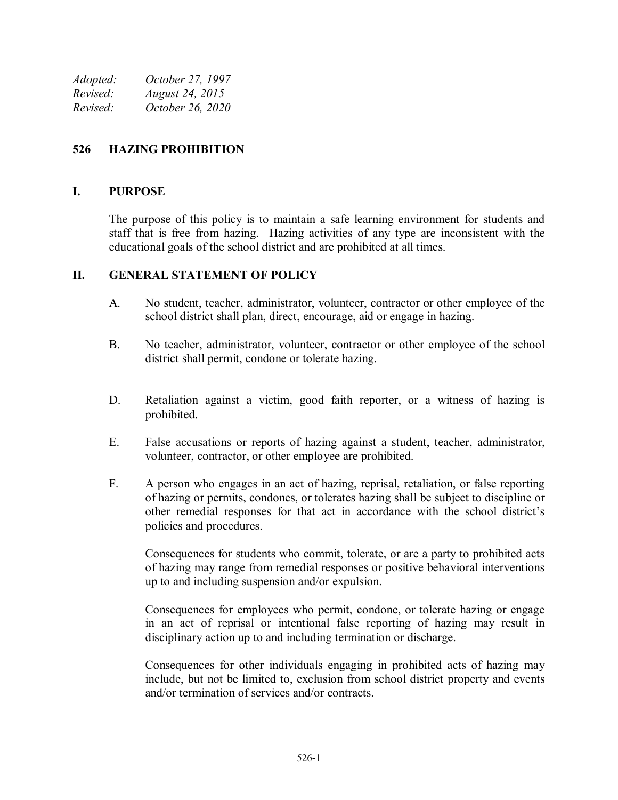| Adopted: | October 27, 1997       |
|----------|------------------------|
| Revised: | <i>August 24, 2015</i> |
| Revised: | October 26, 2020       |

### **526 HAZING PROHIBITION**

#### **I. PURPOSE**

The purpose of this policy is to maintain a safe learning environment for students and staff that is free from hazing. Hazing activities of any type are inconsistent with the educational goals of the school district and are prohibited at all times.

#### **II. GENERAL STATEMENT OF POLICY**

- A. No student, teacher, administrator, volunteer, contractor or other employee of the school district shall plan, direct, encourage, aid or engage in hazing.
- B. No teacher, administrator, volunteer, contractor or other employee of the school district shall permit, condone or tolerate hazing.
- D. Retaliation against a victim, good faith reporter, or a witness of hazing is prohibited.
- E. False accusations or reports of hazing against a student, teacher, administrator, volunteer, contractor, or other employee are prohibited.
- F. A person who engages in an act of hazing, reprisal, retaliation, or false reporting of hazing or permits, condones, or tolerates hazing shall be subject to discipline or other remedial responses for that act in accordance with the school district's policies and procedures.

Consequences for students who commit, tolerate, or are a party to prohibited acts of hazing may range from remedial responses or positive behavioral interventions up to and including suspension and/or expulsion.

Consequences for employees who permit, condone, or tolerate hazing or engage in an act of reprisal or intentional false reporting of hazing may result in disciplinary action up to and including termination or discharge.

Consequences for other individuals engaging in prohibited acts of hazing may include, but not be limited to, exclusion from school district property and events and/or termination of services and/or contracts.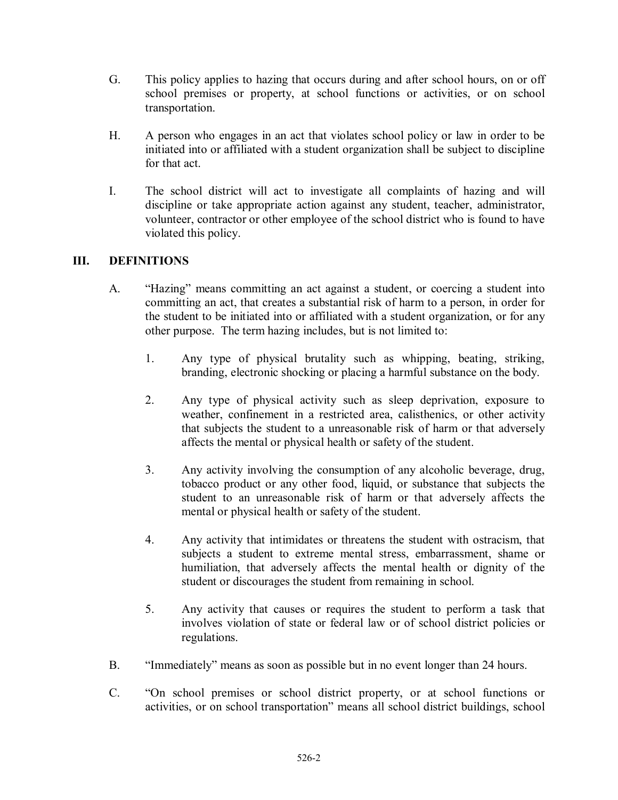- G. This policy applies to hazing that occurs during and after school hours, on or off school premises or property, at school functions or activities, or on school transportation.
- H. A person who engages in an act that violates school policy or law in order to be initiated into or affiliated with a student organization shall be subject to discipline for that act.
- I. The school district will act to investigate all complaints of hazing and will discipline or take appropriate action against any student, teacher, administrator, volunteer, contractor or other employee of the school district who is found to have violated this policy.

## **III. DEFINITIONS**

- A. "Hazing" means committing an act against a student, or coercing a student into committing an act, that creates a substantial risk of harm to a person, in order for the student to be initiated into or affiliated with a student organization, or for any other purpose. The term hazing includes, but is not limited to:
	- 1. Any type of physical brutality such as whipping, beating, striking, branding, electronic shocking or placing a harmful substance on the body.
	- 2. Any type of physical activity such as sleep deprivation, exposure to weather, confinement in a restricted area, calisthenics, or other activity that subjects the student to a unreasonable risk of harm or that adversely affects the mental or physical health or safety of the student.
	- 3. Any activity involving the consumption of any alcoholic beverage, drug, tobacco product or any other food, liquid, or substance that subjects the student to an unreasonable risk of harm or that adversely affects the mental or physical health or safety of the student.
	- 4. Any activity that intimidates or threatens the student with ostracism, that subjects a student to extreme mental stress, embarrassment, shame or humiliation, that adversely affects the mental health or dignity of the student or discourages the student from remaining in school.
	- 5. Any activity that causes or requires the student to perform a task that involves violation of state or federal law or of school district policies or regulations.
- B. "Immediately" means as soon as possible but in no event longer than 24 hours.
- C. "On school premises or school district property, or at school functions or activities, or on school transportation" means all school district buildings, school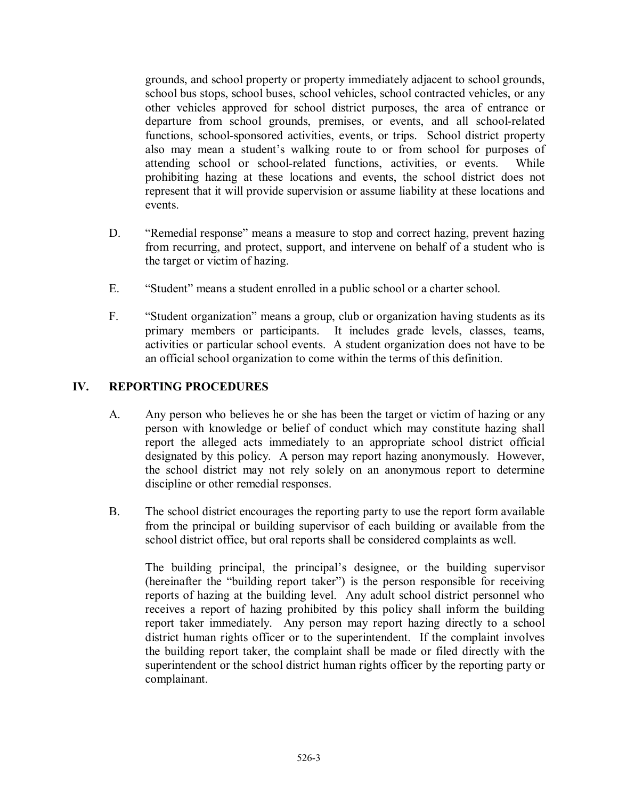grounds, and school property or property immediately adjacent to school grounds, school bus stops, school buses, school vehicles, school contracted vehicles, or any other vehicles approved for school district purposes, the area of entrance or departure from school grounds, premises, or events, and all school-related functions, school-sponsored activities, events, or trips. School district property also may mean a student's walking route to or from school for purposes of attending school or school-related functions, activities, or events. While prohibiting hazing at these locations and events, the school district does not represent that it will provide supervision or assume liability at these locations and events.

- D. "Remedial response" means a measure to stop and correct hazing, prevent hazing from recurring, and protect, support, and intervene on behalf of a student who is the target or victim of hazing.
- E. "Student" means a student enrolled in a public school or a charter school.
- F. "Student organization" means a group, club or organization having students as its primary members or participants. It includes grade levels, classes, teams, activities or particular school events. A student organization does not have to be an official school organization to come within the terms of this definition.

## **IV. REPORTING PROCEDURES**

- A. Any person who believes he or she has been the target or victim of hazing or any person with knowledge or belief of conduct which may constitute hazing shall report the alleged acts immediately to an appropriate school district official designated by this policy. A person may report hazing anonymously. However, the school district may not rely solely on an anonymous report to determine discipline or other remedial responses.
- B. The school district encourages the reporting party to use the report form available from the principal or building supervisor of each building or available from the school district office, but oral reports shall be considered complaints as well.

The building principal, the principal's designee, or the building supervisor (hereinafter the "building report taker") is the person responsible for receiving reports of hazing at the building level. Any adult school district personnel who receives a report of hazing prohibited by this policy shall inform the building report taker immediately. Any person may report hazing directly to a school district human rights officer or to the superintendent. If the complaint involves the building report taker, the complaint shall be made or filed directly with the superintendent or the school district human rights officer by the reporting party or complainant.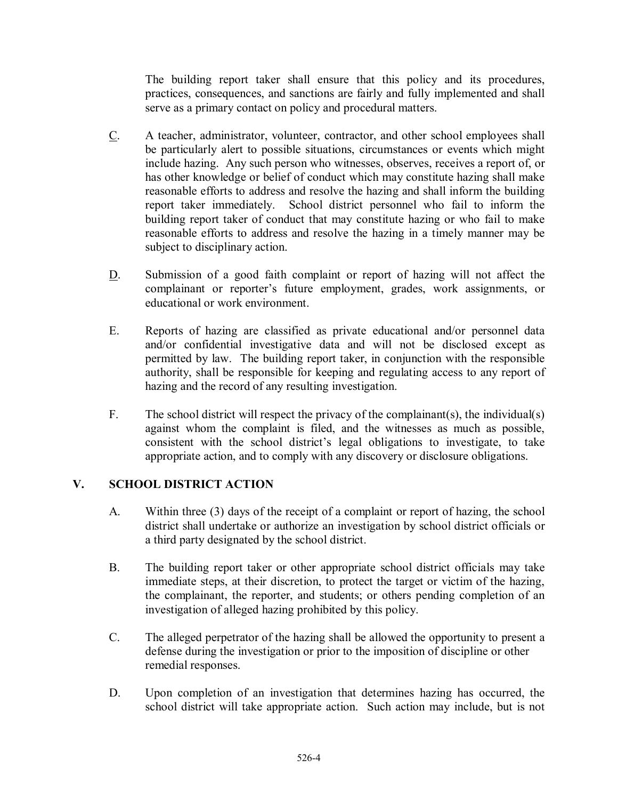The building report taker shall ensure that this policy and its procedures, practices, consequences, and sanctions are fairly and fully implemented and shall serve as a primary contact on policy and procedural matters.

- C. A teacher, administrator, volunteer, contractor, and other school employees shall be particularly alert to possible situations, circumstances or events which might include hazing. Any such person who witnesses, observes, receives a report of, or has other knowledge or belief of conduct which may constitute hazing shall make reasonable efforts to address and resolve the hazing and shall inform the building report taker immediately. School district personnel who fail to inform the building report taker of conduct that may constitute hazing or who fail to make reasonable efforts to address and resolve the hazing in a timely manner may be subject to disciplinary action.
- D. Submission of a good faith complaint or report of hazing will not affect the complainant or reporter's future employment, grades, work assignments, or educational or work environment.
- E. Reports of hazing are classified as private educational and/or personnel data and/or confidential investigative data and will not be disclosed except as permitted by law. The building report taker, in conjunction with the responsible authority, shall be responsible for keeping and regulating access to any report of hazing and the record of any resulting investigation.
- F. The school district will respect the privacy of the complainant(s), the individual(s) against whom the complaint is filed, and the witnesses as much as possible, consistent with the school district's legal obligations to investigate, to take appropriate action, and to comply with any discovery or disclosure obligations.

### **V. SCHOOL DISTRICT ACTION**

- A. Within three (3) days of the receipt of a complaint or report of hazing, the school district shall undertake or authorize an investigation by school district officials or a third party designated by the school district.
- B. The building report taker or other appropriate school district officials may take immediate steps, at their discretion, to protect the target or victim of the hazing, the complainant, the reporter, and students; or others pending completion of an investigation of alleged hazing prohibited by this policy.
- C. The alleged perpetrator of the hazing shall be allowed the opportunity to present a defense during the investigation or prior to the imposition of discipline or other remedial responses.
- D. Upon completion of an investigation that determines hazing has occurred, the school district will take appropriate action. Such action may include, but is not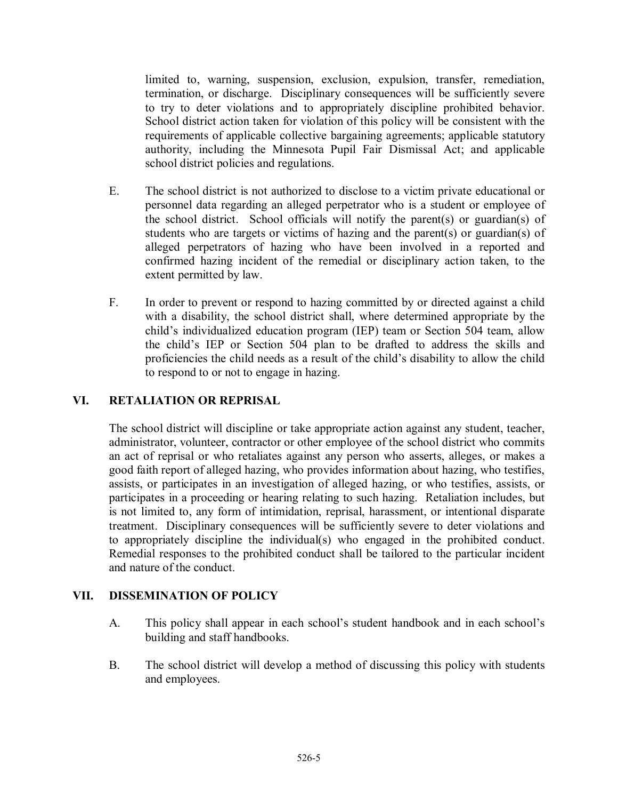limited to, warning, suspension, exclusion, expulsion, transfer, remediation, termination, or discharge. Disciplinary consequences will be sufficiently severe to try to deter violations and to appropriately discipline prohibited behavior. School district action taken for violation of this policy will be consistent with the requirements of applicable collective bargaining agreements; applicable statutory authority, including the Minnesota Pupil Fair Dismissal Act; and applicable school district policies and regulations.

- E. The school district is not authorized to disclose to a victim private educational or personnel data regarding an alleged perpetrator who is a student or employee of the school district. School officials will notify the parent(s) or guardian(s) of students who are targets or victims of hazing and the parent(s) or guardian(s) of alleged perpetrators of hazing who have been involved in a reported and confirmed hazing incident of the remedial or disciplinary action taken, to the extent permitted by law.
- F. In order to prevent or respond to hazing committed by or directed against a child with a disability, the school district shall, where determined appropriate by the child's individualized education program (IEP) team or Section 504 team, allow the child's IEP or Section 504 plan to be drafted to address the skills and proficiencies the child needs as a result of the child's disability to allow the child to respond to or not to engage in hazing.

### **VI. RETALIATION OR REPRISAL**

The school district will discipline or take appropriate action against any student, teacher, administrator, volunteer, contractor or other employee of the school district who commits an act of reprisal or who retaliates against any person who asserts, alleges, or makes a good faith report of alleged hazing, who provides information about hazing, who testifies, assists, or participates in an investigation of alleged hazing, or who testifies, assists, or participates in a proceeding or hearing relating to such hazing. Retaliation includes, but is not limited to, any form of intimidation, reprisal, harassment, or intentional disparate treatment. Disciplinary consequences will be sufficiently severe to deter violations and to appropriately discipline the individual(s) who engaged in the prohibited conduct. Remedial responses to the prohibited conduct shall be tailored to the particular incident and nature of the conduct.

#### **VII. DISSEMINATION OF POLICY**

- A. This policy shall appear in each school's student handbook and in each school's building and staff handbooks.
- B. The school district will develop a method of discussing this policy with students and employees.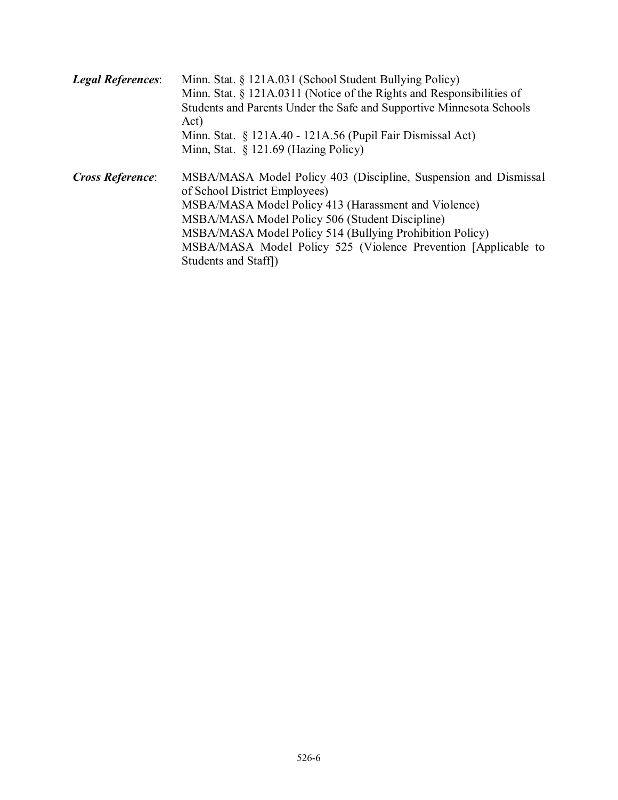| <b>Legal References:</b> | Minn. Stat. § 121A.031 (School Student Bullying Policy)<br>Minn. Stat. § 121A.0311 (Notice of the Rights and Responsibilities of<br>Students and Parents Under the Safe and Supportive Minnesota Schools<br>Act)<br>Minn. Stat. § 121A.40 - 121A.56 (Pupil Fair Dismissal Act)<br>Minn, Stat. § 121.69 (Hazing Policy)                                            |
|--------------------------|-------------------------------------------------------------------------------------------------------------------------------------------------------------------------------------------------------------------------------------------------------------------------------------------------------------------------------------------------------------------|
| <b>Cross Reference:</b>  | MSBA/MASA Model Policy 403 (Discipline, Suspension and Dismissal<br>of School District Employees)<br>MSBA/MASA Model Policy 413 (Harassment and Violence)<br>MSBA/MASA Model Policy 506 (Student Discipline)<br>MSBA/MASA Model Policy 514 (Bullying Prohibition Policy)<br>MSBA/MASA Model Policy 525 (Violence Prevention [Applicable to<br>Students and Staff) |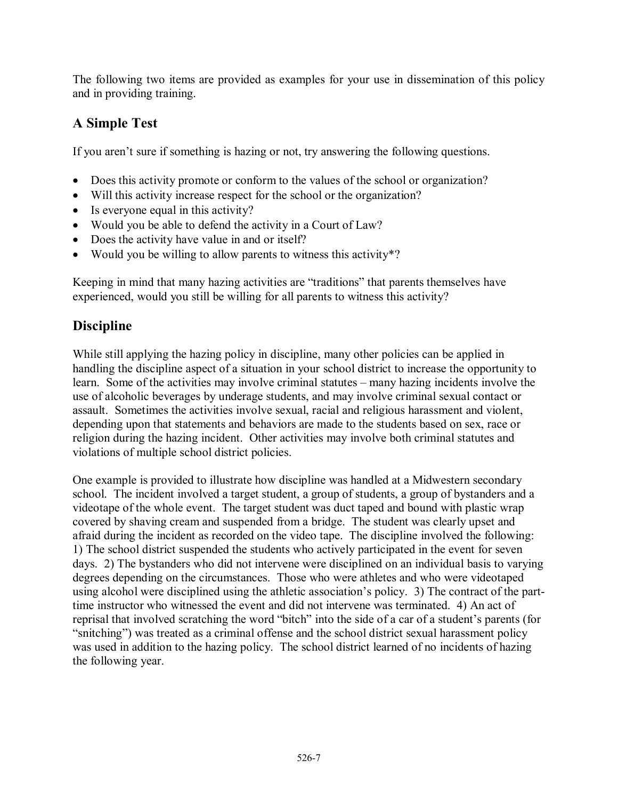The following two items are provided as examples for your use in dissemination of this policy and in providing training.

# **A Simple Test**

If you aren't sure if something is hazing or not, try answering the following questions.

- Does this activity promote or conform to the values of the school or organization?
- Will this activity increase respect for the school or the organization?
- Is everyone equal in this activity?
- Would you be able to defend the activity in a Court of Law?
- Does the activity have value in and or itself?
- Would you be willing to allow parents to witness this activity\*?

Keeping in mind that many hazing activities are "traditions" that parents themselves have experienced, would you still be willing for all parents to witness this activity?

# **Discipline**

While still applying the hazing policy in discipline, many other policies can be applied in handling the discipline aspect of a situation in your school district to increase the opportunity to learn. Some of the activities may involve criminal statutes – many hazing incidents involve the use of alcoholic beverages by underage students, and may involve criminal sexual contact or assault. Sometimes the activities involve sexual, racial and religious harassment and violent, depending upon that statements and behaviors are made to the students based on sex, race or religion during the hazing incident. Other activities may involve both criminal statutes and violations of multiple school district policies.

One example is provided to illustrate how discipline was handled at a Midwestern secondary school. The incident involved a target student, a group of students, a group of bystanders and a videotape of the whole event. The target student was duct taped and bound with plastic wrap covered by shaving cream and suspended from a bridge. The student was clearly upset and afraid during the incident as recorded on the video tape. The discipline involved the following: 1) The school district suspended the students who actively participated in the event for seven days. 2) The bystanders who did not intervene were disciplined on an individual basis to varying degrees depending on the circumstances. Those who were athletes and who were videotaped using alcohol were disciplined using the athletic association's policy. 3) The contract of the parttime instructor who witnessed the event and did not intervene was terminated. 4) An act of reprisal that involved scratching the word "bitch" into the side of a car of a student's parents (for "snitching") was treated as a criminal offense and the school district sexual harassment policy was used in addition to the hazing policy. The school district learned of no incidents of hazing the following year.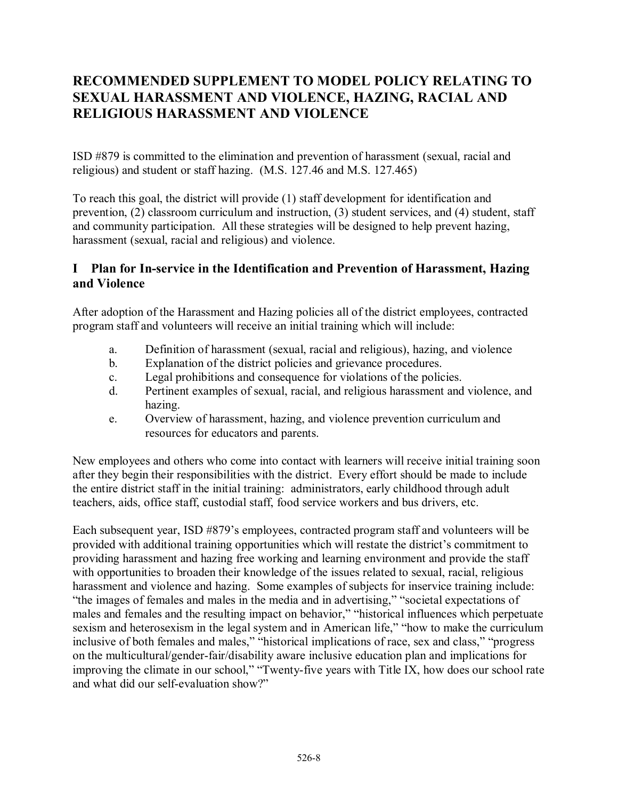# **RECOMMENDED SUPPLEMENT TO MODEL POLICY RELATING TO SEXUAL HARASSMENT AND VIOLENCE, HAZING, RACIAL AND RELIGIOUS HARASSMENT AND VIOLENCE**

ISD #879 is committed to the elimination and prevention of harassment (sexual, racial and religious) and student or staff hazing. (M.S. 127.46 and M.S. 127.465)

To reach this goal, the district will provide (1) staff development for identification and prevention, (2) classroom curriculum and instruction, (3) student services, and (4) student, staff and community participation. All these strategies will be designed to help prevent hazing, harassment (sexual, racial and religious) and violence.

## **I Plan for In-service in the Identification and Prevention of Harassment, Hazing and Violence**

After adoption of the Harassment and Hazing policies all of the district employees, contracted program staff and volunteers will receive an initial training which will include:

- a. Definition of harassment (sexual, racial and religious), hazing, and violence
- b. Explanation of the district policies and grievance procedures.
- c. Legal prohibitions and consequence for violations of the policies.
- d. Pertinent examples of sexual, racial, and religious harassment and violence, and hazing.
- e. Overview of harassment, hazing, and violence prevention curriculum and resources for educators and parents.

New employees and others who come into contact with learners will receive initial training soon after they begin their responsibilities with the district. Every effort should be made to include the entire district staff in the initial training: administrators, early childhood through adult teachers, aids, office staff, custodial staff, food service workers and bus drivers, etc.

Each subsequent year, ISD #879's employees, contracted program staff and volunteers will be provided with additional training opportunities which will restate the district's commitment to providing harassment and hazing free working and learning environment and provide the staff with opportunities to broaden their knowledge of the issues related to sexual, racial, religious harassment and violence and hazing. Some examples of subjects for inservice training include: "the images of females and males in the media and in advertising," "societal expectations of males and females and the resulting impact on behavior," "historical influences which perpetuate sexism and heterosexism in the legal system and in American life," "how to make the curriculum inclusive of both females and males," "historical implications of race, sex and class," "progress on the multicultural/gender-fair/disability aware inclusive education plan and implications for improving the climate in our school," "Twenty-five years with Title IX, how does our school rate and what did our self-evaluation show?"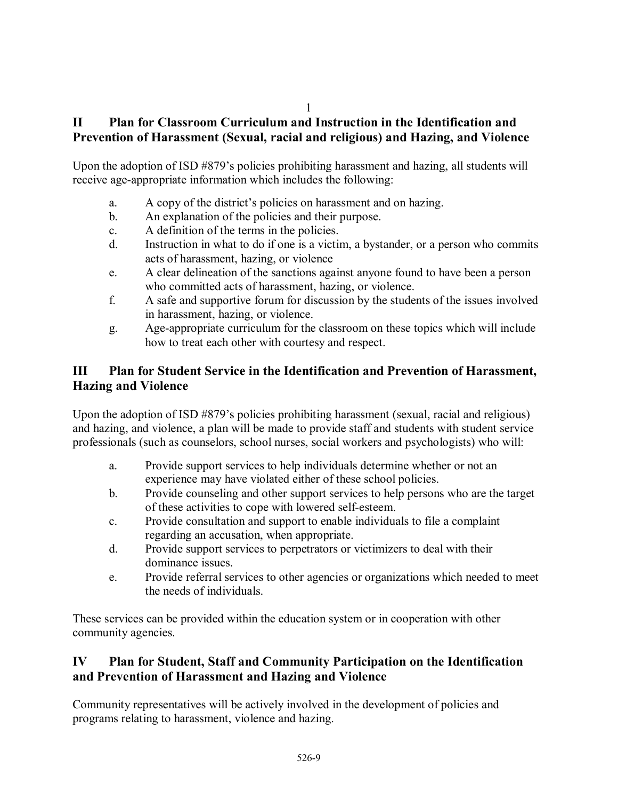## **II Plan for Classroom Curriculum and Instruction in the Identification and Prevention of Harassment (Sexual, racial and religious) and Hazing, and Violence**

Upon the adoption of ISD #879's policies prohibiting harassment and hazing, all students will receive age-appropriate information which includes the following:

- a. A copy of the district's policies on harassment and on hazing.
- b. An explanation of the policies and their purpose.
- c. A definition of the terms in the policies.
- d. Instruction in what to do if one is a victim, a bystander, or a person who commits acts of harassment, hazing, or violence
- e. A clear delineation of the sanctions against anyone found to have been a person who committed acts of harassment, hazing, or violence.
- f. A safe and supportive forum for discussion by the students of the issues involved in harassment, hazing, or violence.
- g. Age-appropriate curriculum for the classroom on these topics which will include how to treat each other with courtesy and respect.

# **III Plan for Student Service in the Identification and Prevention of Harassment, Hazing and Violence**

Upon the adoption of ISD #879's policies prohibiting harassment (sexual, racial and religious) and hazing, and violence, a plan will be made to provide staff and students with student service professionals (such as counselors, school nurses, social workers and psychologists) who will:

- a. Provide support services to help individuals determine whether or not an experience may have violated either of these school policies.
- b. Provide counseling and other support services to help persons who are the target of these activities to cope with lowered self-esteem.
- c. Provide consultation and support to enable individuals to file a complaint regarding an accusation, when appropriate.
- d. Provide support services to perpetrators or victimizers to deal with their dominance issues.
- e. Provide referral services to other agencies or organizations which needed to meet the needs of individuals.

These services can be provided within the education system or in cooperation with other community agencies.

## **IV Plan for Student, Staff and Community Participation on the Identification and Prevention of Harassment and Hazing and Violence**

Community representatives will be actively involved in the development of policies and programs relating to harassment, violence and hazing.